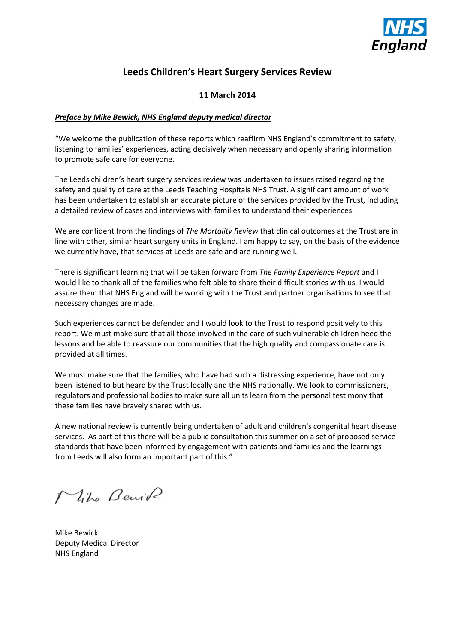

## **Leeds Children's Heart Surgery Services Review**

#### **11 March 2014**

#### *Preface by Mike Bewick, NHS England deputy medical director*

"We welcome the publication of these reports which reaffirm NHS England's commitment to safety, listening to families' experiences, acting decisively when necessary and openly sharing information to promote safe care for everyone.

The Leeds children's heart surgery services review was undertaken to issues raised regarding the safety and quality of care at the Leeds Teaching Hospitals NHS Trust. A significant amount of work has been undertaken to establish an accurate picture of the services provided by the Trust, including a detailed review of cases and interviews with families to understand their experiences.

We are confident from the findings of *The Mortality Review* that clinical outcomes at the Trust are in line with other, similar heart surgery units in England. I am happy to say, on the basis of the evidence we currently have, that services at Leeds are safe and are running well.

There is significant learning that will be taken forward from *The Family Experience Report* and I would like to thank all of the families who felt able to share their difficult stories with us. I would assure them that NHS England will be working with the Trust and partner organisations to see that necessary changes are made.

Such experiences cannot be defended and I would look to the Trust to respond positively to this report. We must make sure that all those involved in the care of such vulnerable children heed the lessons and be able to reassure our communities that the high quality and compassionate care is provided at all times.

We must make sure that the families, who have had such a distressing experience, have not only been listened to but heard by the Trust locally and the NHS nationally. We look to commissioners, regulators and professional bodies to make sure all units learn from the personal testimony that these families have bravely shared with us.

A new national review is currently being undertaken of adult and children's congenital heart disease services. As part of this there will be a public consultation this summer on a set of proposed service standards that have been informed by engagement with patients and families and the learnings from Leeds will also form an important part of this."

Mike Benik

Mike Bewick Deputy Medical Director NHS England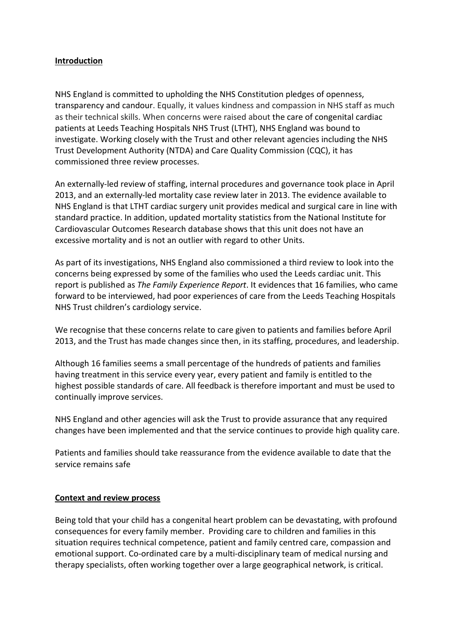#### **Introduction**

NHS England is committed to upholding the NHS Constitution pledges of openness, transparency and candour. Equally, it values kindness and compassion in NHS staff as much as their technical skills. When concerns were raised about the care of congenital cardiac patients at Leeds Teaching Hospitals NHS Trust (LTHT), NHS England was bound to investigate. Working closely with the Trust and other relevant agencies including the NHS Trust Development Authority (NTDA) and Care Quality Commission (CQC), it has commissioned three review processes.

An externally-led review of staffing, internal procedures and governance took place in April 2013, and an externally-led mortality case review later in 2013. The evidence available to NHS England is that LTHT cardiac surgery unit provides medical and surgical care in line with standard practice. In addition, updated mortality statistics from the National Institute for Cardiovascular Outcomes Research database shows that this unit does not have an excessive mortality and is not an outlier with regard to other Units.

As part of its investigations, NHS England also commissioned a third review to look into the concerns being expressed by some of the families who used the Leeds cardiac unit. This report is published as *The Family Experience Report*. It evidences that 16 families, who came forward to be interviewed, had poor experiences of care from the Leeds Teaching Hospitals NHS Trust children's cardiology service.

We recognise that these concerns relate to care given to patients and families before April 2013, and the Trust has made changes since then, in its staffing, procedures, and leadership.

Although 16 families seems a small percentage of the hundreds of patients and families having treatment in this service every year, every patient and family is entitled to the highest possible standards of care. All feedback is therefore important and must be used to continually improve services.

NHS England and other agencies will ask the Trust to provide assurance that any required changes have been implemented and that the service continues to provide high quality care.

Patients and families should take reassurance from the evidence available to date that the service remains safe

#### **Context and review process**

Being told that your child has a congenital heart problem can be devastating, with profound consequences for every family member. Providing care to children and families in this situation requires technical competence, patient and family centred care, compassion and emotional support. Co-ordinated care by a multi-disciplinary team of medical nursing and therapy specialists, often working together over a large geographical network, is critical.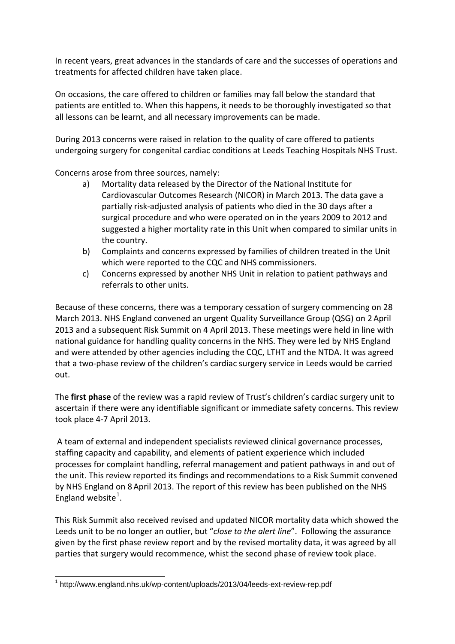In recent years, great advances in the standards of care and the successes of operations and treatments for affected children have taken place.

On occasions, the care offered to children or families may fall below the standard that patients are entitled to. When this happens, it needs to be thoroughly investigated so that all lessons can be learnt, and all necessary improvements can be made.

During 2013 concerns were raised in relation to the quality of care offered to patients undergoing surgery for congenital cardiac conditions at Leeds Teaching Hospitals NHS Trust.

Concerns arose from three sources, namely:

- a) Mortality data released by the Director of the National Institute for Cardiovascular Outcomes Research (NICOR) in March 2013. The data gave a partially risk-adjusted analysis of patients who died in the 30 days after a surgical procedure and who were operated on in the years 2009 to 2012 and suggested a higher mortality rate in this Unit when compared to similar units in the country.
- b) Complaints and concerns expressed by families of children treated in the Unit which were reported to the CQC and NHS commissioners.
- c) Concerns expressed by another NHS Unit in relation to patient pathways and referrals to other units.

Because of these concerns, there was a temporary cessation of surgery commencing on 28 March 2013. NHS England convened an urgent Quality Surveillance Group (QSG) on 2April 2013 and a subsequent Risk Summit on 4 April 2013. These meetings were held in line with national guidance for handling quality concerns in the NHS. They were led by NHS England and were attended by other agencies including the CQC, LTHT and the NTDA. It was agreed that a two-phase review of the children's cardiac surgery service in Leeds would be carried out.

The **first phase** of the review was a rapid review of Trust's children's cardiac surgery unit to ascertain if there were any identifiable significant or immediate safety concerns. This review took place 4-7 April 2013.

A team of external and independent specialists reviewed clinical governance processes, staffing capacity and capability, and elements of patient experience which included processes for complaint handling, referral management and patient pathways in and out of the unit. This review reported its findings and recommendations to a Risk Summit convened by NHS England on 8April 2013. The report of this review has been published on the NHS England website $^1$  $^1$ .

This Risk Summit also received revised and updated NICOR mortality data which showed the Leeds unit to be no longer an outlier, but "*close to the alert line*". Following the assurance given by the first phase review report and by the revised mortality data, it was agreed by all parties that surgery would recommence, whist the second phase of review took place.

<span id="page-2-0"></span> <sup>1</sup> http://www.england.nhs.uk/wp-content/uploads/2013/04/leeds-ext-review-rep.pdf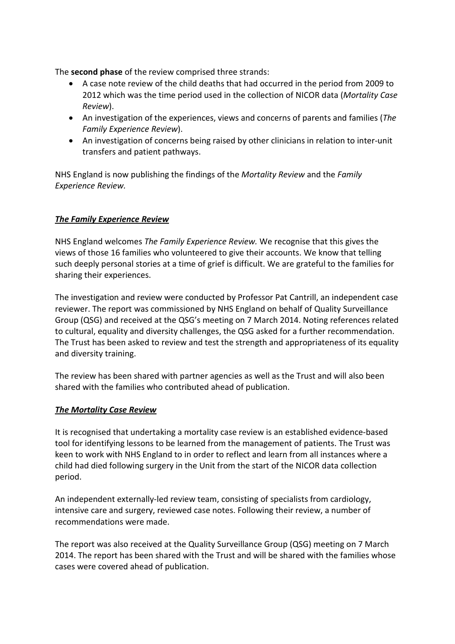The **second phase** of the review comprised three strands:

- A case note review of the child deaths that had occurred in the period from 2009 to 2012 which was the time period used in the collection of NICOR data (*Mortality Case Review*).
- An investigation of the experiences, views and concerns of parents and families (*The Family Experience Review*).
- An investigation of concerns being raised by other clinicians in relation to inter-unit transfers and patient pathways.

NHS England is now publishing the findings of the *Mortality Review* and the *Family Experience Review.* 

#### *The Family Experience Review*

NHS England welcomes *The Family Experience Review.* We recognise that this gives the views of those 16 families who volunteered to give their accounts. We know that telling such deeply personal stories at a time of grief is difficult. We are grateful to the families for sharing their experiences.

The investigation and review were conducted by Professor Pat Cantrill, an independent case reviewer. The report was commissioned by NHS England on behalf of Quality Surveillance Group (QSG) and received at the QSG's meeting on 7 March 2014. Noting references related to cultural, equality and diversity challenges, the QSG asked for a further recommendation. The Trust has been asked to review and test the strength and appropriateness of its equality and diversity training.

The review has been shared with partner agencies as well as the Trust and will also been shared with the families who contributed ahead of publication.

#### *The Mortality Case Review*

It is recognised that undertaking a mortality case review is an established evidence-based tool for identifying lessons to be learned from the management of patients. The Trust was keen to work with NHS England to in order to reflect and learn from all instances where a child had died following surgery in the Unit from the start of the NICOR data collection period.

An independent externally-led review team, consisting of specialists from cardiology, intensive care and surgery, reviewed case notes. Following their review, a number of recommendations were made.

The report was also received at the Quality Surveillance Group (QSG) meeting on 7 March 2014. The report has been shared with the Trust and will be shared with the families whose cases were covered ahead of publication.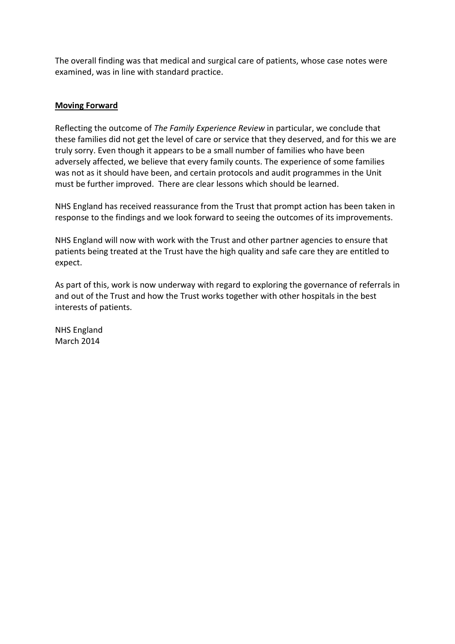The overall finding was that medical and surgical care of patients, whose case notes were examined, was in line with standard practice.

#### **Moving Forward**

Reflecting the outcome of *The Family Experience Review* in particular, we conclude that these families did not get the level of care or service that they deserved, and for this we are truly sorry. Even though it appears to be a small number of families who have been adversely affected, we believe that every family counts. The experience of some families was not as it should have been, and certain protocols and audit programmes in the Unit must be further improved. There are clear lessons which should be learned.

NHS England has received reassurance from the Trust that prompt action has been taken in response to the findings and we look forward to seeing the outcomes of its improvements.

NHS England will now with work with the Trust and other partner agencies to ensure that patients being treated at the Trust have the high quality and safe care they are entitled to expect.

As part of this, work is now underway with regard to exploring the governance of referrals in and out of the Trust and how the Trust works together with other hospitals in the best interests of patients.

NHS England March 2014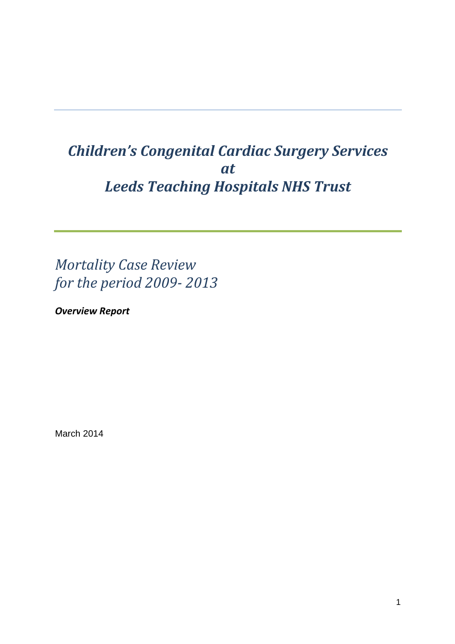## *Children's Congenital Cardiac Surgery Services at Leeds Teaching Hospitals NHS Trust*

*Mortality Case Review for the period 2009- 2013*

*Overview Report*

March 2014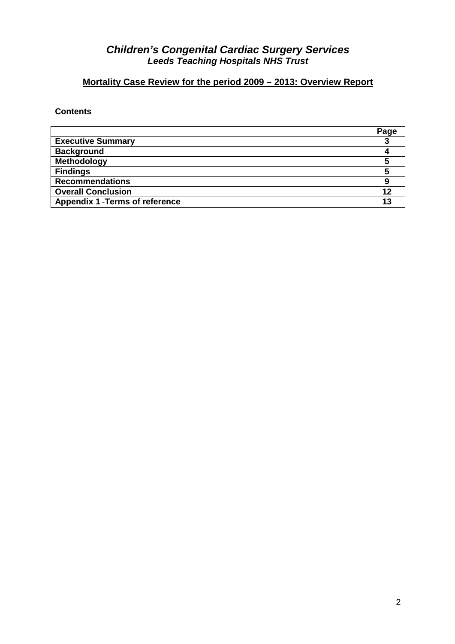## *Children's Congenital Cardiac Surgery Services Leeds Teaching Hospitals NHS Trust*

## **Mortality Case Review for the period 2009 – 2013: Overview Report**

#### **Contents**

|                                        | Page |
|----------------------------------------|------|
| <b>Executive Summary</b>               |      |
| <b>Background</b>                      |      |
| Methodology                            |      |
| <b>Findings</b>                        |      |
| <b>Recommendations</b>                 |      |
| <b>Overall Conclusion</b>              |      |
| <b>Appendix 1 - Terms of reference</b> |      |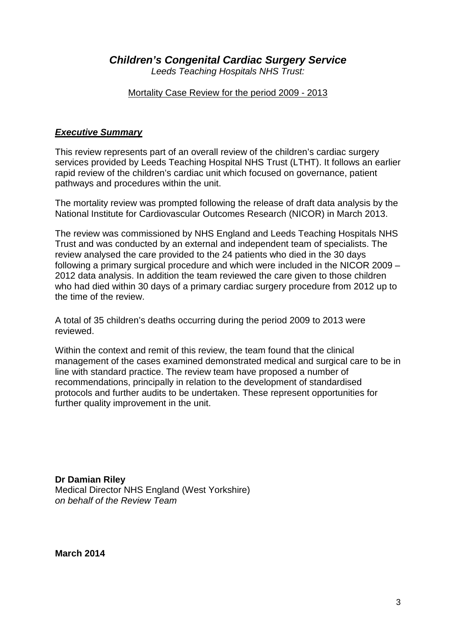*Children's Congenital Cardiac Surgery Service*

*Leeds Teaching Hospitals NHS Trust:*

Mortality Case Review for the period 2009 - 2013

#### *Executive Summary*

This review represents part of an overall review of the children's cardiac surgery services provided by Leeds Teaching Hospital NHS Trust (LTHT). It follows an earlier rapid review of the children's cardiac unit which focused on governance, patient pathways and procedures within the unit.

The mortality review was prompted following the release of draft data analysis by the National Institute for Cardiovascular Outcomes Research (NICOR) in March 2013.

The review was commissioned by NHS England and Leeds Teaching Hospitals NHS Trust and was conducted by an external and independent team of specialists. The review analysed the care provided to the 24 patients who died in the 30 days following a primary surgical procedure and which were included in the NICOR 2009 – 2012 data analysis. In addition the team reviewed the care given to those children who had died within 30 days of a primary cardiac surgery procedure from 2012 up to the time of the review.

A total of 35 children's deaths occurring during the period 2009 to 2013 were reviewed.

Within the context and remit of this review, the team found that the clinical management of the cases examined demonstrated medical and surgical care to be in line with standard practice. The review team have proposed a number of recommendations, principally in relation to the development of standardised protocols and further audits to be undertaken. These represent opportunities for further quality improvement in the unit.

**Dr Damian Riley** Medical Director NHS England (West Yorkshire) *on behalf of the Review Team*

**March 2014**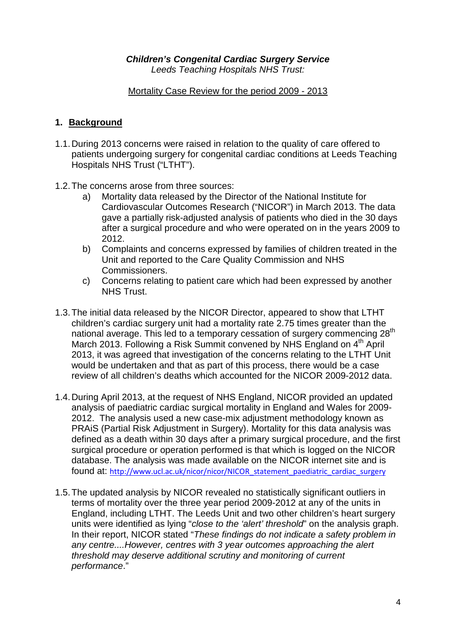#### *Children's Congenital Cardiac Surgery Service Leeds Teaching Hospitals NHS Trust:*

#### Mortality Case Review for the period 2009 - 2013

#### **1. Background**

- 1.1.During 2013 concerns were raised in relation to the quality of care offered to patients undergoing surgery for congenital cardiac conditions at Leeds Teaching Hospitals NHS Trust ("LTHT").
- 1.2.The concerns arose from three sources:
	- a) Mortality data released by the Director of the National Institute for Cardiovascular Outcomes Research ("NICOR") in March 2013. The data gave a partially risk-adjusted analysis of patients who died in the 30 days after a surgical procedure and who were operated on in the years 2009 to 2012.
	- b) Complaints and concerns expressed by families of children treated in the Unit and reported to the Care Quality Commission and NHS Commissioners.
	- c) Concerns relating to patient care which had been expressed by another NHS Trust.
- 1.3.The initial data released by the NICOR Director, appeared to show that LTHT children's cardiac surgery unit had a mortality rate 2.75 times greater than the national average. This led to a temporary cessation of surgery commencing 28<sup>th</sup> March 2013. Following a Risk Summit convened by NHS England on 4<sup>th</sup> April 2013, it was agreed that investigation of the concerns relating to the LTHT Unit would be undertaken and that as part of this process, there would be a case review of all children's deaths which accounted for the NICOR 2009-2012 data.
- 1.4.During April 2013, at the request of NHS England, NICOR provided an updated analysis of paediatric cardiac surgical mortality in England and Wales for 2009- 2012. The analysis used a new case-mix adjustment methodology known as PRAiS (Partial Risk Adjustment in Surgery). Mortality for this data analysis was defined as a death within 30 days after a primary surgical procedure, and the first surgical procedure or operation performed is that which is logged on the NICOR database. The analysis was made available on the NICOR internet site and is found at: [http://www.ucl.ac.uk/nicor/nicor/NICOR\\_statement\\_paediatric\\_cardiac\\_surgery](http://www.ucl.ac.uk/nicor/nicor/NICOR_statement_paediatric_cardiac_surgery)
- 1.5.The updated analysis by NICOR revealed no statistically significant outliers in terms of mortality over the three year period 2009-2012 at any of the units in England, including LTHT. The Leeds Unit and two other children's heart surgery units were identified as lying "*close to the 'alert' threshold*" on the analysis graph. In their report, NICOR stated "*These findings do not indicate a safety problem in any centre....However, centres with 3 year outcomes approaching the alert threshold may deserve additional scrutiny and monitoring of current performance*."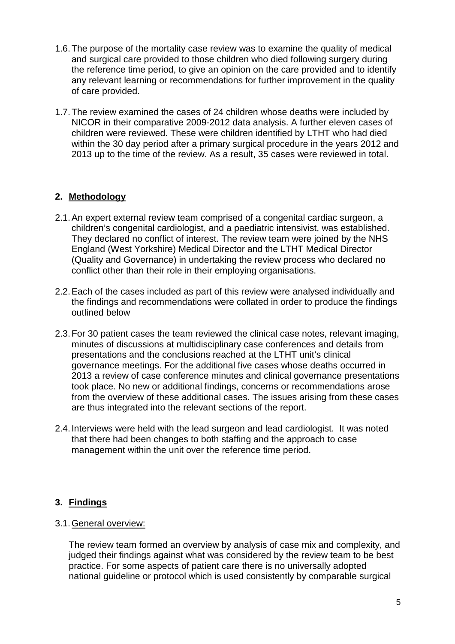- 1.6.The purpose of the mortality case review was to examine the quality of medical and surgical care provided to those children who died following surgery during the reference time period, to give an opinion on the care provided and to identify any relevant learning or recommendations for further improvement in the quality of care provided.
- 1.7.The review examined the cases of 24 children whose deaths were included by NICOR in their comparative 2009-2012 data analysis. A further eleven cases of children were reviewed. These were children identified by LTHT who had died within the 30 day period after a primary surgical procedure in the years 2012 and 2013 up to the time of the review. As a result, 35 cases were reviewed in total.

#### **2. Methodology**

- 2.1.An expert external review team comprised of a congenital cardiac surgeon, a children's congenital cardiologist, and a paediatric intensivist, was established. They declared no conflict of interest. The review team were joined by the NHS England (West Yorkshire) Medical Director and the LTHT Medical Director (Quality and Governance) in undertaking the review process who declared no conflict other than their role in their employing organisations.
- 2.2.Each of the cases included as part of this review were analysed individually and the findings and recommendations were collated in order to produce the findings outlined below
- 2.3.For 30 patient cases the team reviewed the clinical case notes, relevant imaging, minutes of discussions at multidisciplinary case conferences and details from presentations and the conclusions reached at the LTHT unit's clinical governance meetings. For the additional five cases whose deaths occurred in 2013 a review of case conference minutes and clinical governance presentations took place. No new or additional findings, concerns or recommendations arose from the overview of these additional cases. The issues arising from these cases are thus integrated into the relevant sections of the report.
- 2.4.Interviews were held with the lead surgeon and lead cardiologist. It was noted that there had been changes to both staffing and the approach to case management within the unit over the reference time period.

#### **3. Findings**

#### 3.1.General overview:

The review team formed an overview by analysis of case mix and complexity, and judged their findings against what was considered by the review team to be best practice. For some aspects of patient care there is no universally adopted national guideline or protocol which is used consistently by comparable surgical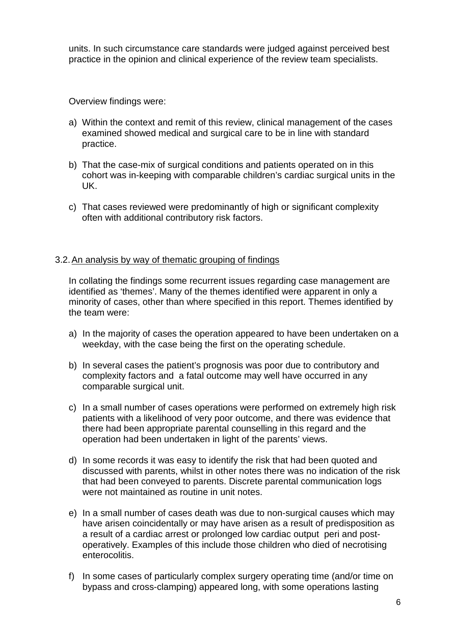units. In such circumstance care standards were judged against perceived best practice in the opinion and clinical experience of the review team specialists.

Overview findings were:

- a) Within the context and remit of this review, clinical management of the cases examined showed medical and surgical care to be in line with standard practice.
- b) That the case-mix of surgical conditions and patients operated on in this cohort was in-keeping with comparable children's cardiac surgical units in the UK.
- c) That cases reviewed were predominantly of high or significant complexity often with additional contributory risk factors.

#### 3.2.An analysis by way of thematic grouping of findings

In collating the findings some recurrent issues regarding case management are identified as 'themes'. Many of the themes identified were apparent in only a minority of cases, other than where specified in this report. Themes identified by the team were:

- a) In the majority of cases the operation appeared to have been undertaken on a weekday, with the case being the first on the operating schedule.
- b) In several cases the patient's prognosis was poor due to contributory and complexity factors and a fatal outcome may well have occurred in any comparable surgical unit.
- c) In a small number of cases operations were performed on extremely high risk patients with a likelihood of very poor outcome, and there was evidence that there had been appropriate parental counselling in this regard and the operation had been undertaken in light of the parents' views.
- d) In some records it was easy to identify the risk that had been quoted and discussed with parents, whilst in other notes there was no indication of the risk that had been conveyed to parents. Discrete parental communication logs were not maintained as routine in unit notes.
- e) In a small number of cases death was due to non-surgical causes which may have arisen coincidentally or may have arisen as a result of predisposition as a result of a cardiac arrest or prolonged low cardiac output peri and postoperatively. Examples of this include those children who died of necrotising enterocolitis.
- f) In some cases of particularly complex surgery operating time (and/or time on bypass and cross-clamping) appeared long, with some operations lasting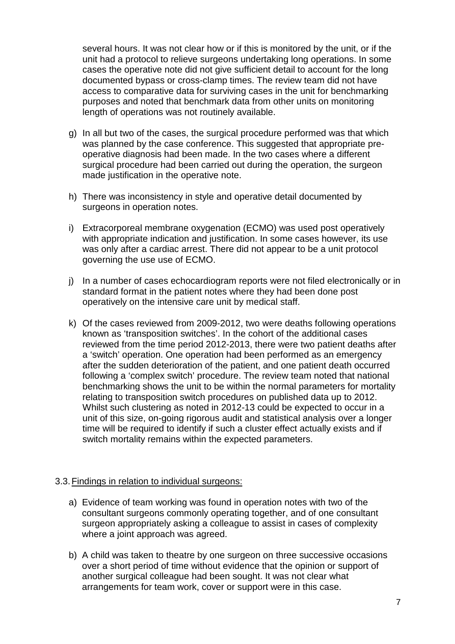several hours. It was not clear how or if this is monitored by the unit, or if the unit had a protocol to relieve surgeons undertaking long operations. In some cases the operative note did not give sufficient detail to account for the long documented bypass or cross-clamp times. The review team did not have access to comparative data for surviving cases in the unit for benchmarking purposes and noted that benchmark data from other units on monitoring length of operations was not routinely available.

- g) In all but two of the cases, the surgical procedure performed was that which was planned by the case conference. This suggested that appropriate preoperative diagnosis had been made. In the two cases where a different surgical procedure had been carried out during the operation, the surgeon made justification in the operative note.
- h) There was inconsistency in style and operative detail documented by surgeons in operation notes.
- i) Extracorporeal membrane oxygenation (ECMO) was used post operatively with appropriate indication and justification. In some cases however, its use was only after a cardiac arrest. There did not appear to be a unit protocol governing the use use of ECMO.
- j) In a number of cases echocardiogram reports were not filed electronically or in standard format in the patient notes where they had been done post operatively on the intensive care unit by medical staff.
- k) Of the cases reviewed from 2009-2012, two were deaths following operations known as 'transposition switches'. In the cohort of the additional cases reviewed from the time period 2012-2013, there were two patient deaths after a 'switch' operation. One operation had been performed as an emergency after the sudden deterioration of the patient, and one patient death occurred following a 'complex switch' procedure. The review team noted that national benchmarking shows the unit to be within the normal parameters for mortality relating to transposition switch procedures on published data up to 2012. Whilst such clustering as noted in 2012-13 could be expected to occur in a unit of this size, on-going rigorous audit and statistical analysis over a longer time will be required to identify if such a cluster effect actually exists and if switch mortality remains within the expected parameters.

#### 3.3.Findings in relation to individual surgeons:

- a) Evidence of team working was found in operation notes with two of the consultant surgeons commonly operating together, and of one consultant surgeon appropriately asking a colleague to assist in cases of complexity where a joint approach was agreed.
- b) A child was taken to theatre by one surgeon on three successive occasions over a short period of time without evidence that the opinion or support of another surgical colleague had been sought. It was not clear what arrangements for team work, cover or support were in this case.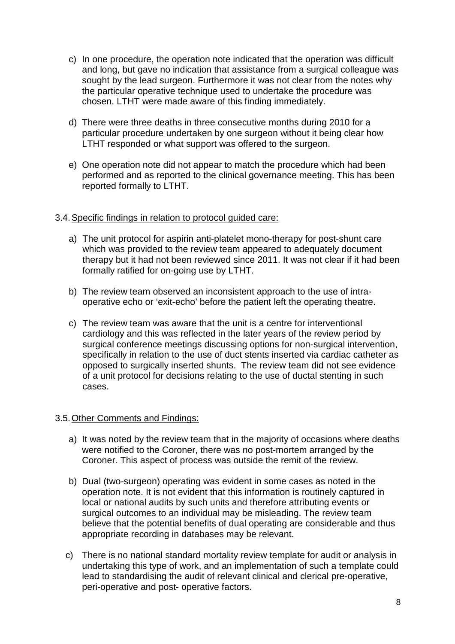- c) In one procedure, the operation note indicated that the operation was difficult and long, but gave no indication that assistance from a surgical colleague was sought by the lead surgeon. Furthermore it was not clear from the notes why the particular operative technique used to undertake the procedure was chosen. LTHT were made aware of this finding immediately.
- d) There were three deaths in three consecutive months during 2010 for a particular procedure undertaken by one surgeon without it being clear how LTHT responded or what support was offered to the surgeon.
- e) One operation note did not appear to match the procedure which had been performed and as reported to the clinical governance meeting. This has been reported formally to LTHT.

#### 3.4.Specific findings in relation to protocol guided care:

- a) The unit protocol for aspirin anti-platelet mono-therapy for post-shunt care which was provided to the review team appeared to adequately document therapy but it had not been reviewed since 2011. It was not clear if it had been formally ratified for on-going use by LTHT.
- b) The review team observed an inconsistent approach to the use of intraoperative echo or 'exit-echo' before the patient left the operating theatre.
- c) The review team was aware that the unit is a centre for interventional cardiology and this was reflected in the later years of the review period by surgical conference meetings discussing options for non-surgical intervention, specifically in relation to the use of duct stents inserted via cardiac catheter as opposed to surgically inserted shunts. The review team did not see evidence of a unit protocol for decisions relating to the use of ductal stenting in such cases.

#### 3.5.Other Comments and Findings:

- a) It was noted by the review team that in the majority of occasions where deaths were notified to the Coroner, there was no post-mortem arranged by the Coroner. This aspect of process was outside the remit of the review.
- b) Dual (two-surgeon) operating was evident in some cases as noted in the operation note. It is not evident that this information is routinely captured in local or national audits by such units and therefore attributing events or surgical outcomes to an individual may be misleading. The review team believe that the potential benefits of dual operating are considerable and thus appropriate recording in databases may be relevant.
- c) There is no national standard mortality review template for audit or analysis in undertaking this type of work, and an implementation of such a template could lead to standardising the audit of relevant clinical and clerical pre-operative, peri-operative and post- operative factors.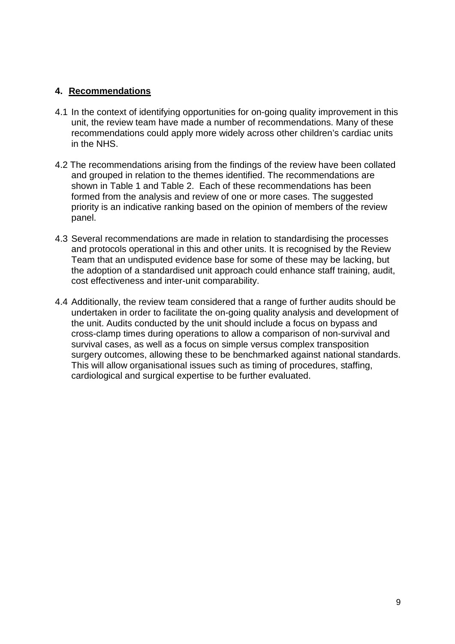#### **4. Recommendations**

- 4.1 In the context of identifying opportunities for on-going quality improvement in this unit, the review team have made a number of recommendations. Many of these recommendations could apply more widely across other children's cardiac units in the NHS.
- 4.2 The recommendations arising from the findings of the review have been collated and grouped in relation to the themes identified. The recommendations are shown in Table 1 and Table 2. Each of these recommendations has been formed from the analysis and review of one or more cases. The suggested priority is an indicative ranking based on the opinion of members of the review panel.
- 4.3 Several recommendations are made in relation to standardising the processes and protocols operational in this and other units. It is recognised by the Review Team that an undisputed evidence base for some of these may be lacking, but the adoption of a standardised unit approach could enhance staff training, audit, cost effectiveness and inter-unit comparability.
- 4.4 Additionally, the review team considered that a range of further audits should be undertaken in order to facilitate the on-going quality analysis and development of the unit. Audits conducted by the unit should include a focus on bypass and cross-clamp times during operations to allow a comparison of non-survival and survival cases, as well as a focus on simple versus complex transposition surgery outcomes, allowing these to be benchmarked against national standards. This will allow organisational issues such as timing of procedures, staffing, cardiological and surgical expertise to be further evaluated.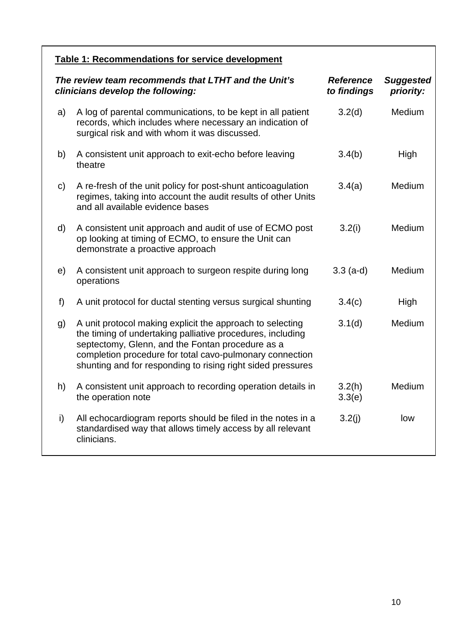| <b>Table 1: Recommendations for service development</b>                                  |                                                                                                                                                                                                                                                                                                        |                                 |                               |  |
|------------------------------------------------------------------------------------------|--------------------------------------------------------------------------------------------------------------------------------------------------------------------------------------------------------------------------------------------------------------------------------------------------------|---------------------------------|-------------------------------|--|
| The review team recommends that LTHT and the Unit's<br>clinicians develop the following: |                                                                                                                                                                                                                                                                                                        | <b>Reference</b><br>to findings | <b>Suggested</b><br>priority: |  |
| a)                                                                                       | A log of parental communications, to be kept in all patient<br>records, which includes where necessary an indication of<br>surgical risk and with whom it was discussed.                                                                                                                               | 3.2(d)                          | Medium                        |  |
| b)                                                                                       | A consistent unit approach to exit-echo before leaving<br>theatre                                                                                                                                                                                                                                      | 3.4(b)                          | High                          |  |
| $\mathsf{c}$                                                                             | A re-fresh of the unit policy for post-shunt anticoagulation<br>regimes, taking into account the audit results of other Units<br>and all available evidence bases                                                                                                                                      | 3.4(a)                          | Medium                        |  |
| d)                                                                                       | A consistent unit approach and audit of use of ECMO post<br>op looking at timing of ECMO, to ensure the Unit can<br>demonstrate a proactive approach                                                                                                                                                   | 3.2(i)                          | Medium                        |  |
| e)                                                                                       | A consistent unit approach to surgeon respite during long<br>operations                                                                                                                                                                                                                                | $3.3$ (a-d)                     | Medium                        |  |
| f)                                                                                       | A unit protocol for ductal stenting versus surgical shunting                                                                                                                                                                                                                                           | 3.4(c)                          | High                          |  |
| g)                                                                                       | A unit protocol making explicit the approach to selecting<br>the timing of undertaking palliative procedures, including<br>septectomy, Glenn, and the Fontan procedure as a<br>completion procedure for total cavo-pulmonary connection<br>shunting and for responding to rising right sided pressures | 3.1(d)                          | Medium                        |  |
| h)                                                                                       | A consistent unit approach to recording operation details in<br>the operation note                                                                                                                                                                                                                     | 3.2(h)<br>3.3(e)                | Medium                        |  |
| i)                                                                                       | All echocardiogram reports should be filed in the notes in a<br>standardised way that allows timely access by all relevant<br>clinicians.                                                                                                                                                              | 3.2(j)                          | low                           |  |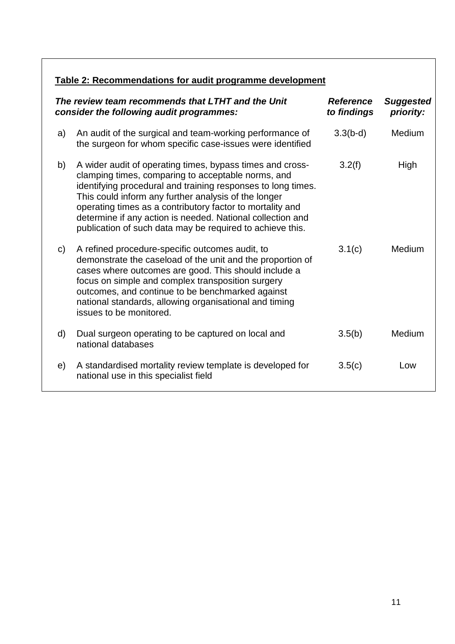## **Table 2: Recommendations for audit programme development**

| The review team recommends that LTHT and the Unit<br>consider the following audit programmes: |                                                                                                                                                                                                                                                                                                                                                                                                                                 | <b>Reference</b><br>to findings | <b>Suggested</b><br>priority: |
|-----------------------------------------------------------------------------------------------|---------------------------------------------------------------------------------------------------------------------------------------------------------------------------------------------------------------------------------------------------------------------------------------------------------------------------------------------------------------------------------------------------------------------------------|---------------------------------|-------------------------------|
| a)                                                                                            | An audit of the surgical and team-working performance of<br>the surgeon for whom specific case-issues were identified                                                                                                                                                                                                                                                                                                           | $3.3(b-d)$                      | Medium                        |
| b)                                                                                            | A wider audit of operating times, bypass times and cross-<br>clamping times, comparing to acceptable norms, and<br>identifying procedural and training responses to long times.<br>This could inform any further analysis of the longer<br>operating times as a contributory factor to mortality and<br>determine if any action is needed. National collection and<br>publication of such data may be required to achieve this. | 3.2(f)                          | High                          |
| $\mathsf{C}$                                                                                  | A refined procedure-specific outcomes audit, to<br>demonstrate the caseload of the unit and the proportion of<br>cases where outcomes are good. This should include a<br>focus on simple and complex transposition surgery<br>outcomes, and continue to be benchmarked against<br>national standards, allowing organisational and timing<br>issues to be monitored.                                                             | 3.1(c)                          | Medium                        |
| d)                                                                                            | Dual surgeon operating to be captured on local and<br>national databases                                                                                                                                                                                                                                                                                                                                                        | 3.5(b)                          | Medium                        |
| e)                                                                                            | A standardised mortality review template is developed for<br>national use in this specialist field                                                                                                                                                                                                                                                                                                                              | 3.5(c)                          | Low                           |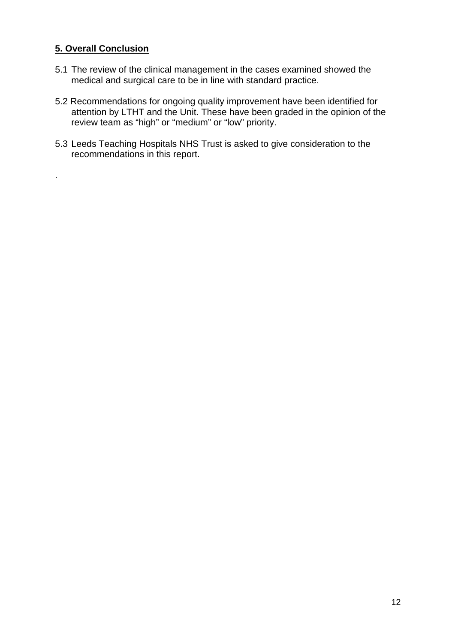#### **5. Overall Conclusion**

.

- 5.1 The review of the clinical management in the cases examined showed the medical and surgical care to be in line with standard practice.
- 5.2 Recommendations for ongoing quality improvement have been identified for attention by LTHT and the Unit. These have been graded in the opinion of the review team as "high" or "medium" or "low" priority.
- 5.3 Leeds Teaching Hospitals NHS Trust is asked to give consideration to the recommendations in this report.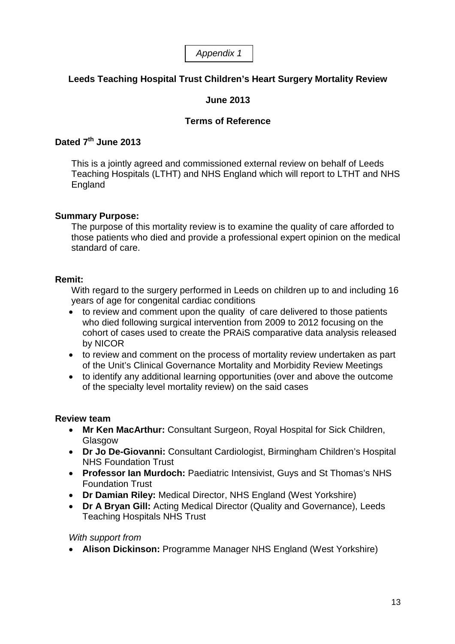*Appendix 1*

## **Leeds Teaching Hospital Trust Children's Heart Surgery Mortality Review**

## **June 2013**

#### **Terms of Reference**

## **Dated 7th June 2013**

This is a jointly agreed and commissioned external review on behalf of Leeds Teaching Hospitals (LTHT) and NHS England which will report to LTHT and NHS England

#### **Summary Purpose:**

The purpose of this mortality review is to examine the quality of care afforded to those patients who died and provide a professional expert opinion on the medical standard of care.

#### **Remit:**

With regard to the surgery performed in Leeds on children up to and including 16 years of age for congenital cardiac conditions

- to review and comment upon the quality of care delivered to those patients who died following surgical intervention from 2009 to 2012 focusing on the cohort of cases used to create the PRAiS comparative data analysis released by NICOR
- to review and comment on the process of mortality review undertaken as part of the Unit's Clinical Governance Mortality and Morbidity Review Meetings
- to identify any additional learning opportunities (over and above the outcome of the specialty level mortality review) on the said cases

#### **Review team**

- **Mr Ken MacArthur:** Consultant Surgeon, Royal Hospital for Sick Children, Glasgow
- **Dr Jo De-Giovanni:** Consultant Cardiologist, Birmingham Children's Hospital NHS Foundation Trust
- **Professor Ian Murdoch:** Paediatric Intensivist, Guys and St Thomas's NHS Foundation Trust
- **Dr Damian Riley:** Medical Director, NHS England (West Yorkshire)
- **Dr A Bryan Gill:** Acting Medical Director (Quality and Governance), Leeds Teaching Hospitals NHS Trust

#### *With support from*

• **Alison Dickinson:** Programme Manager NHS England (West Yorkshire)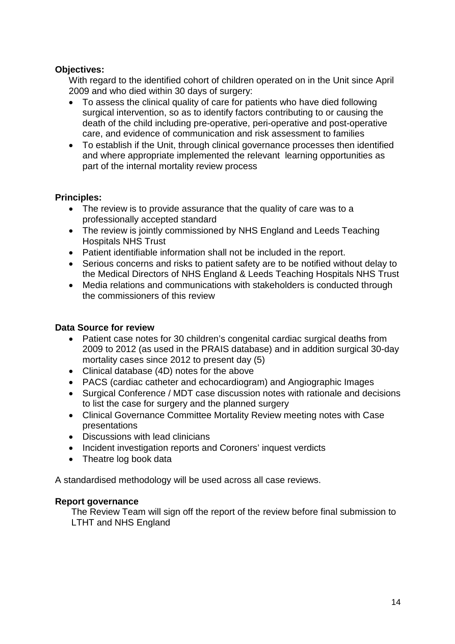#### **Objectives:**

With regard to the identified cohort of children operated on in the Unit since April 2009 and who died within 30 days of surgery:

- To assess the clinical quality of care for patients who have died following surgical intervention, so as to identify factors contributing to or causing the death of the child including pre-operative, peri-operative and post-operative care, and evidence of communication and risk assessment to families
- To establish if the Unit, through clinical governance processes then identified and where appropriate implemented the relevant learning opportunities as part of the internal mortality review process

#### **Principles:**

- The review is to provide assurance that the quality of care was to a professionally accepted standard
- The review is jointly commissioned by NHS England and Leeds Teaching Hospitals NHS Trust
- Patient identifiable information shall not be included in the report.
- Serious concerns and risks to patient safety are to be notified without delay to the Medical Directors of NHS England & Leeds Teaching Hospitals NHS Trust
- Media relations and communications with stakeholders is conducted through the commissioners of this review

#### **Data Source for review**

- Patient case notes for 30 children's congenital cardiac surgical deaths from 2009 to 2012 (as used in the PRAIS database) and in addition surgical 30-day mortality cases since 2012 to present day (5)
- Clinical database (4D) notes for the above
- PACS (cardiac catheter and echocardiogram) and Angiographic Images
- Surgical Conference / MDT case discussion notes with rationale and decisions to list the case for surgery and the planned surgery
- Clinical Governance Committee Mortality Review meeting notes with Case presentations
- Discussions with lead clinicians
- Incident investigation reports and Coroners' inquest verdicts
- Theatre log book data

A standardised methodology will be used across all case reviews.

#### **Report governance**

The Review Team will sign off the report of the review before final submission to LTHT and NHS England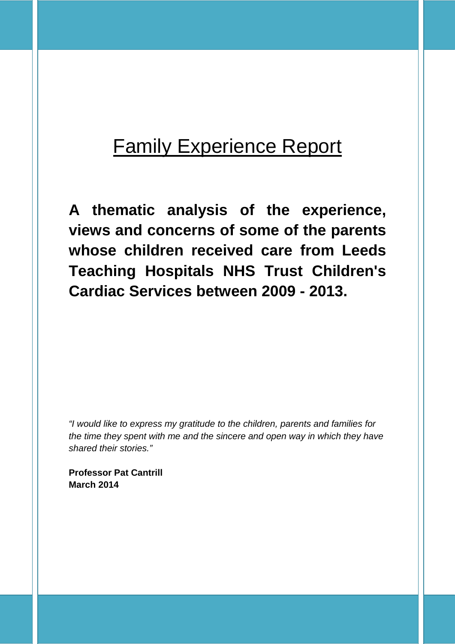# **Family Experience Report**

**A thematic analysis of the experience, views and concerns of some of the parents whose children received care from Leeds Teaching Hospitals NHS Trust Children's Cardiac Services between 2009 - 2013.** 

*"I would like to express my gratitude to the children, parents and families for the time they spent with me and the sincere and open way in which they have shared their stories."*

**Professor Pat Cantrill March 2014**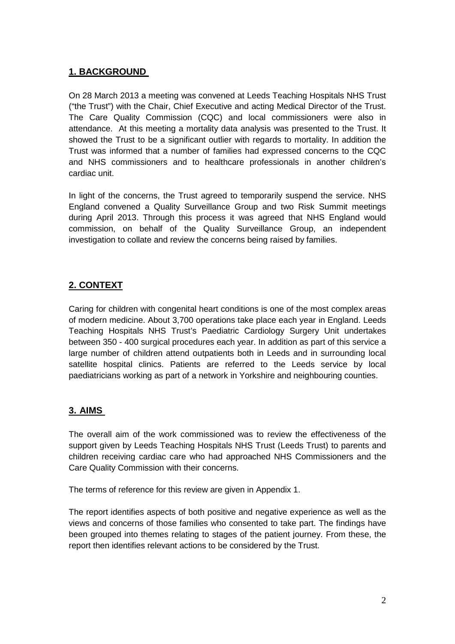## **1. BACKGROUND**

On 28 March 2013 a meeting was convened at Leeds Teaching Hospitals NHS Trust ("the Trust") with the Chair, Chief Executive and acting Medical Director of the Trust. The Care Quality Commission (CQC) and local commissioners were also in attendance. At this meeting a mortality data analysis was presented to the Trust. It showed the Trust to be a significant outlier with regards to mortality. In addition the Trust was informed that a number of families had expressed concerns to the CQC and NHS commissioners and to healthcare professionals in another children's cardiac unit.

In light of the concerns, the Trust agreed to temporarily suspend the service. NHS England convened a Quality Surveillance Group and two Risk Summit meetings during April 2013. Through this process it was agreed that NHS England would commission, on behalf of the Quality Surveillance Group, an independent investigation to collate and review the concerns being raised by families.

## **2. CONTEXT**

Caring for children with congenital heart conditions is one of the most complex areas of modern medicine. About 3,700 operations take place each year in England. Leeds Teaching Hospitals NHS Trust's Paediatric Cardiology Surgery Unit undertakes between 350 - 400 surgical procedures each year. In addition as part of this service a large number of children attend outpatients both in Leeds and in surrounding local satellite hospital clinics. Patients are referred to the Leeds service by local paediatricians working as part of a network in Yorkshire and neighbouring counties.

#### **3. AIMS**

The overall aim of the work commissioned was to review the effectiveness of the support given by Leeds Teaching Hospitals NHS Trust (Leeds Trust) to parents and children receiving cardiac care who had approached NHS Commissioners and the Care Quality Commission with their concerns.

The terms of reference for this review are given in Appendix 1.

The report identifies aspects of both positive and negative experience as well as the views and concerns of those families who consented to take part. The findings have been grouped into themes relating to stages of the patient journey. From these, the report then identifies relevant actions to be considered by the Trust.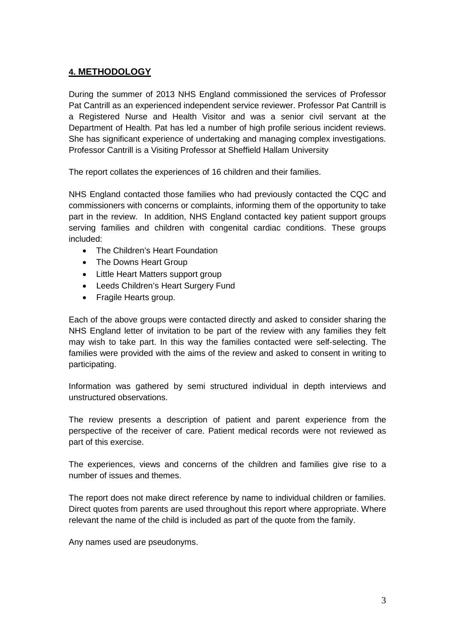#### **4. METHODOLOGY**

During the summer of 2013 NHS England commissioned the services of Professor Pat Cantrill as an experienced independent service reviewer. Professor Pat Cantrill is a Registered Nurse and Health Visitor and was a senior civil servant at the Department of Health. Pat has led a number of high profile serious incident reviews. She has significant experience of undertaking and managing complex investigations. Professor Cantrill is a Visiting Professor at Sheffield Hallam University

The report collates the experiences of 16 children and their families.

NHS England contacted those families who had previously contacted the CQC and commissioners with concerns or complaints, informing them of the opportunity to take part in the review. In addition, NHS England contacted key patient support groups serving families and children with congenital cardiac conditions. These groups included:

- The Children's Heart Foundation
- The Downs Heart Group
- Little Heart Matters support group
- Leeds Children's Heart Surgery Fund
- Fragile Hearts group.

Each of the above groups were contacted directly and asked to consider sharing the NHS England letter of invitation to be part of the review with any families they felt may wish to take part. In this way the families contacted were self-selecting. The families were provided with the aims of the review and asked to consent in writing to participating.

Information was gathered by semi structured individual in depth interviews and unstructured observations.

The review presents a description of patient and parent experience from the perspective of the receiver of care. Patient medical records were not reviewed as part of this exercise.

The experiences, views and concerns of the children and families give rise to a number of issues and themes.

The report does not make direct reference by name to individual children or families. Direct quotes from parents are used throughout this report where appropriate. Where relevant the name of the child is included as part of the quote from the family.

Any names used are pseudonyms.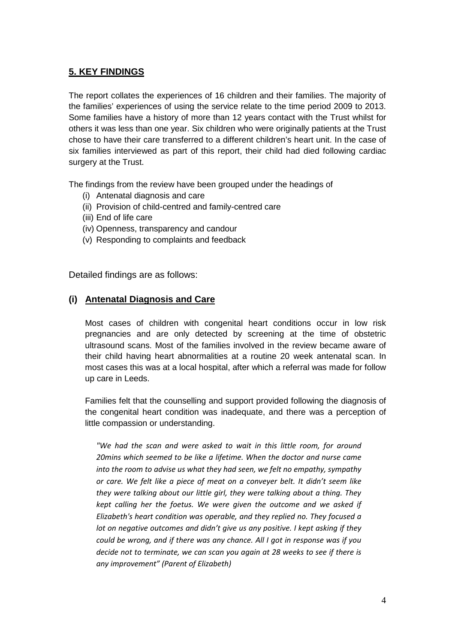#### **5. KEY FINDINGS**

The report collates the experiences of 16 children and their families. The majority of the families' experiences of using the service relate to the time period 2009 to 2013. Some families have a history of more than 12 years contact with the Trust whilst for others it was less than one year. Six children who were originally patients at the Trust chose to have their care transferred to a different children's heart unit. In the case of six families interviewed as part of this report, their child had died following cardiac surgery at the Trust.

The findings from the review have been grouped under the headings of

- (i) Antenatal diagnosis and care
- (ii) Provision of child-centred and family-centred care
- (iii) End of life care
- (iv) Openness, transparency and candour
- (v) Responding to complaints and feedback

Detailed findings are as follows:

#### **(i) Antenatal Diagnosis and Care**

Most cases of children with congenital heart conditions occur in low risk pregnancies and are only detected by screening at the time of obstetric ultrasound scans. Most of the families involved in the review became aware of their child having heart abnormalities at a routine 20 week antenatal scan. In most cases this was at a local hospital, after which a referral was made for follow up care in Leeds.

Families felt that the counselling and support provided following the diagnosis of the congenital heart condition was inadequate, and there was a perception of little compassion or understanding.

*"We had the scan and were asked to wait in this little room, for around 20mins which seemed to be like a lifetime. When the doctor and nurse came into the room to advise us what they had seen, we felt no empathy, sympathy or care. We felt like a piece of meat on a conveyer belt. It didn't seem like they were talking about our little girl, they were talking about a thing. They kept calling her the foetus. We were given the outcome and we asked if Elizabeth's heart condition was operable, and they replied no. They focused a lot on negative outcomes and didn't give us any positive. I kept asking if they could be wrong, and if there was any chance. All I got in response was if you decide not to terminate, we can scan you again at 28 weeks to see if there is any improvement" (Parent of Elizabeth)*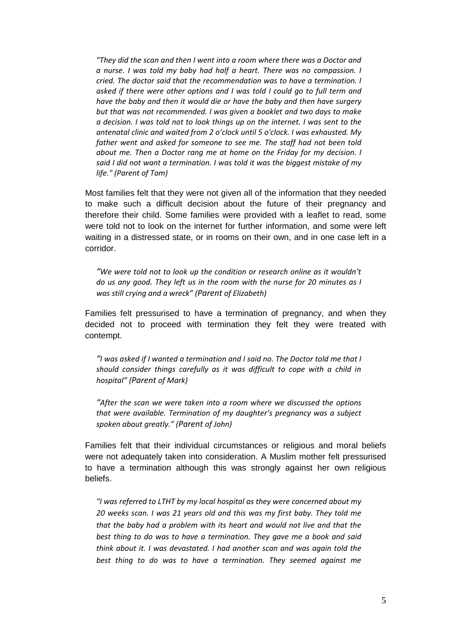*"They did the scan and then I went into a room where there was a Doctor and a nurse. I was told my baby had half a heart. There was no compassion. I cried. The doctor said that the recommendation was to have a termination. I asked if there were other options and I was told I could go to full term and have the baby and then it would die or have the baby and then have surgery but that was not recommended. I was given a booklet and two days to make a decision. I was told not to look things up on the internet. I was sent to the antenatal clinic and waited from 2 o'clock until 5 o'clock. I was exhausted. My father went and asked for someone to see me. The staff had not been told about me. Then a Doctor rang me at home on the Friday for my decision. I said I did not want a termination. I was told it was the biggest mistake of my life." (Parent of Tom)*

Most families felt that they were not given all of the information that they needed to make such a difficult decision about the future of their pregnancy and therefore their child. Some families were provided with a leaflet to read, some were told not to look on the internet for further information, and some were left waiting in a distressed state, or in rooms on their own, and in one case left in a corridor.

*"We were told not to look up the condition or research online as it wouldn't do us any good. They left us in the room with the nurse for 20 minutes as I was still crying and a wreck" (Parent of Elizabeth)*

Families felt pressurised to have a termination of pregnancy, and when they decided not to proceed with termination they felt they were treated with contempt.

*"I was asked if I wanted a termination and I said no. The Doctor told me that I should consider things carefully as it was difficult to cope with a child in hospital" (Parent of Mark)*

*"After the scan we were taken into a room where we discussed the options that were available. Termination of my daughter's pregnancy was a subject spoken about greatly." (Parent of John)*

Families felt that their individual circumstances or religious and moral beliefs were not adequately taken into consideration. A Muslim mother felt pressurised to have a termination although this was strongly against her own religious beliefs.

*"I was referred to LTHT by my local hospital as they were concerned about my 20 weeks scan. I was 21 years old and this was my first baby. They told me that the baby had a problem with its heart and would not live and that the best thing to do was to have a termination. They gave me a book and said think about it. I was devastated. I had another scan and was again told the best thing to do was to have a termination. They seemed against me*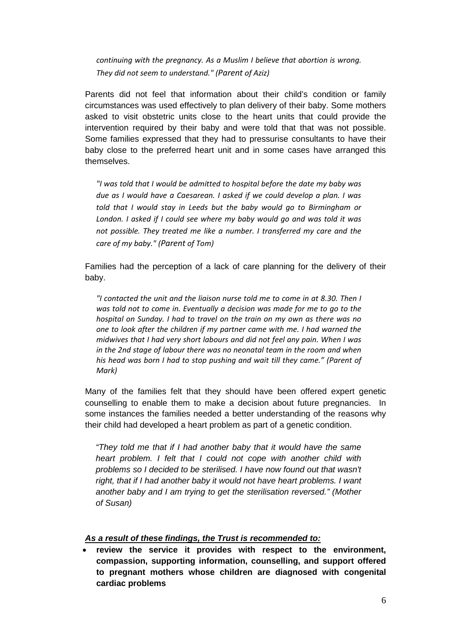*continuing with the pregnancy. As a Muslim I believe that abortion is wrong. They did not seem to understand." (Parent of Aziz)*

Parents did not feel that information about their child's condition or family circumstances was used effectively to plan delivery of their baby. Some mothers asked to visit obstetric units close to the heart units that could provide the intervention required by their baby and were told that that was not possible. Some families expressed that they had to pressurise consultants to have their baby close to the preferred heart unit and in some cases have arranged this themselves.

*"I was told that I would be admitted to hospital before the date my baby was due as I would have a Caesarean. I asked if we could develop a plan. I was told that I would stay in Leeds but the baby would go to Birmingham or London. I asked if I could see where my baby would go and was told it was not possible. They treated me like a number. I transferred my care and the care of my baby." (Parent of Tom)*

Families had the perception of a lack of care planning for the delivery of their baby.

*"I contacted the unit and the liaison nurse told me to come in at 8.30. Then I was told not to come in. Eventually a decision was made for me to go to the hospital on Sunday. I had to travel on the train on my own as there was no one to look after the children if my partner came with me. I had warned the midwives that I had very short labours and did not feel any pain. When I was in the 2nd stage of labour there was no neonatal team in the room and when his head was born I had to stop pushing and wait till they came." (Parent of Mark)*

Many of the families felt that they should have been offered expert genetic counselling to enable them to make a decision about future pregnancies. In some instances the families needed a better understanding of the reasons why their child had developed a heart problem as part of a genetic condition.

*"They told me that if I had another baby that it would have the same heart problem. I felt that I could not cope with another child with problems so I decided to be sterilised. I have now found out that wasn't*  right, that if I had another baby it would not have heart problems. I want *another baby and I am trying to get the sterilisation reversed." (Mother of Susan)*

#### *As a result of these findings, the Trust is recommended to:*

• **review the service it provides with respect to the environment, compassion, supporting information, counselling, and support offered to pregnant mothers whose children are diagnosed with congenital cardiac problems**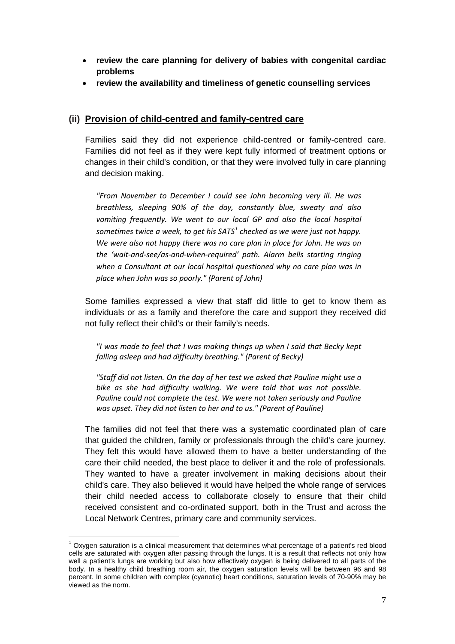- **review the care planning for delivery of babies with congenital cardiac problems**
- **review the availability and timeliness of genetic counselling services**

#### **(ii) Provision of child-centred and family-centred care**

Families said they did not experience child-centred or family-centred care. Families did not feel as if they were kept fully informed of treatment options or changes in their child's condition, or that they were involved fully in care planning and decision making.

*"From November to December I could see John becoming very ill. He was breathless, sleeping 90% of the day, constantly blue, sweaty and also vomiting frequently. We went to our local GP and also the local hospital sometimes twice a week, to get his SATS[1](#page-25-0) checked as we were just not happy. We were also not happy there was no care plan in place for John. He was on the 'wait-and-see/as-and-when-required' path. Alarm bells starting ringing when a Consultant at our local hospital questioned why no care plan was in place when John was so poorly." (Parent of John)*

Some families expressed a view that staff did little to get to know them as individuals or as a family and therefore the care and support they received did not fully reflect their child's or their family's needs.

*"I was made to feel that I was making things up when I said that Becky kept falling asleep and had difficulty breathing." (Parent of Becky)*

*"Staff did not listen. On the day of her test we asked that Pauline might use a bike as she had difficulty walking. We were told that was not possible. Pauline could not complete the test. We were not taken seriously and Pauline was upset. They did not listen to her and to us." (Parent of Pauline)*

The families did not feel that there was a systematic coordinated plan of care that guided the children, family or professionals through the child's care journey. They felt this would have allowed them to have a better understanding of the care their child needed, the best place to deliver it and the role of professionals. They wanted to have a greater involvement in making decisions about their child's care. They also believed it would have helped the whole range of services their child needed access to collaborate closely to ensure that their child received consistent and co-ordinated support, both in the Trust and across the Local Network Centres, primary care and community services.

<span id="page-25-0"></span> $1$  Oxygen saturation is a clinical measurement that determines what percentage of a patient's red blood cells are saturated with oxygen after passing through the lungs. It is a result that reflects not only how well a patient's lungs are working but also how effectively oxygen is being delivered to all parts of the body. In a healthy child breathing room air, the oxygen saturation levels will be between 96 and 98 percent. In some children with complex (cyanotic) heart conditions, saturation levels of 70-90% may be viewed as the norm.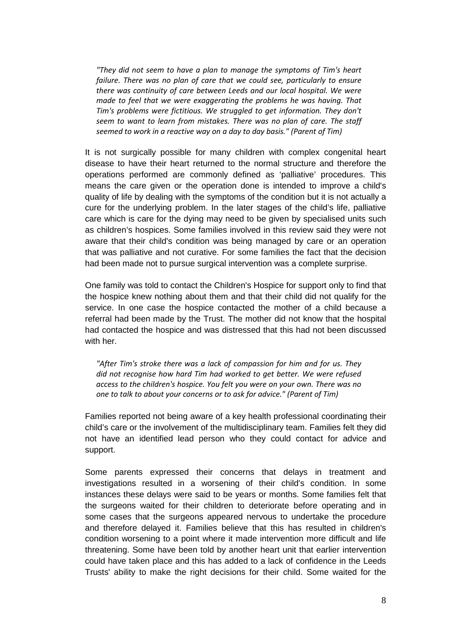*"They did not seem to have a plan to manage the symptoms of Tim's heart failure. There was no plan of care that we could see, particularly to ensure there was continuity of care between Leeds and our local hospital. We were made to feel that we were exaggerating the problems he was having. That Tim's problems were fictitious. We struggled to get information. They don't seem to want to learn from mistakes. There was no plan of care. The staff seemed to work in a reactive way on a day to day basis." (Parent of Tim)*

It is not surgically possible for many children with complex congenital heart disease to have their heart returned to the normal structure and therefore the operations performed are commonly defined as 'palliative' procedures. This means the care given or the operation done is intended to improve a child's quality of life by dealing with the symptoms of the condition but it is not actually a cure for the underlying problem. In the later stages of the child's life, palliative care which is care for the dying may need to be given by specialised units such as children's hospices. Some families involved in this review said they were not aware that their child's condition was being managed by care or an operation that was palliative and not curative. For some families the fact that the decision had been made not to pursue surgical intervention was a complete surprise.

One family was told to contact the Children's Hospice for support only to find that the hospice knew nothing about them and that their child did not qualify for the service. In one case the hospice contacted the mother of a child because a referral had been made by the Trust. The mother did not know that the hospital had contacted the hospice and was distressed that this had not been discussed with her.

*"After Tim's stroke there was a lack of compassion for him and for us. They did not recognise how hard Tim had worked to get better. We were refused access to the children's hospice. You felt you were on your own. There was no one to talk to about your concerns or to ask for advice." (Parent of Tim)*

Families reported not being aware of a key health professional coordinating their child's care or the involvement of the multidisciplinary team. Families felt they did not have an identified lead person who they could contact for advice and support.

Some parents expressed their concerns that delays in treatment and investigations resulted in a worsening of their child's condition. In some instances these delays were said to be years or months. Some families felt that the surgeons waited for their children to deteriorate before operating and in some cases that the surgeons appeared nervous to undertake the procedure and therefore delayed it. Families believe that this has resulted in children's condition worsening to a point where it made intervention more difficult and life threatening. Some have been told by another heart unit that earlier intervention could have taken place and this has added to a lack of confidence in the Leeds Trusts' ability to make the right decisions for their child. Some waited for the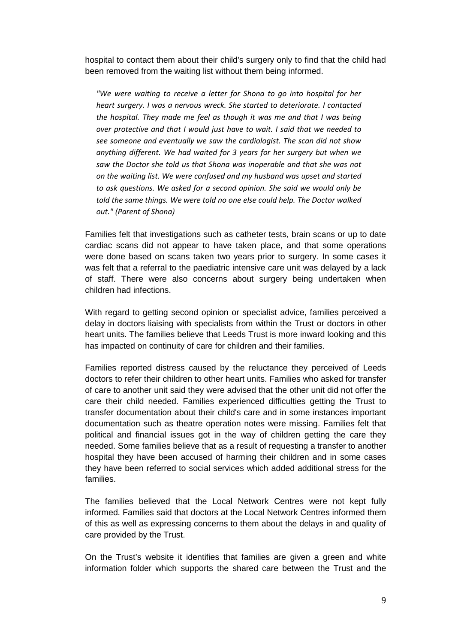hospital to contact them about their child's surgery only to find that the child had been removed from the waiting list without them being informed.

*"We were waiting to receive a letter for Shona to go into hospital for her heart surgery. I was a nervous wreck. She started to deteriorate. I contacted the hospital. They made me feel as though it was me and that I was being over protective and that I would just have to wait. I said that we needed to see someone and eventually we saw the cardiologist. The scan did not show anything different. We had waited for 3 years for her surgery but when we saw the Doctor she told us that Shona was inoperable and that she was not on the waiting list. We were confused and my husband was upset and started to ask questions. We asked for a second opinion. She said we would only be told the same things. We were told no one else could help. The Doctor walked out." (Parent of Shona)*

Families felt that investigations such as catheter tests, brain scans or up to date cardiac scans did not appear to have taken place, and that some operations were done based on scans taken two years prior to surgery. In some cases it was felt that a referral to the paediatric intensive care unit was delayed by a lack of staff. There were also concerns about surgery being undertaken when children had infections.

With regard to getting second opinion or specialist advice, families perceived a delay in doctors liaising with specialists from within the Trust or doctors in other heart units. The families believe that Leeds Trust is more inward looking and this has impacted on continuity of care for children and their families.

Families reported distress caused by the reluctance they perceived of Leeds doctors to refer their children to other heart units. Families who asked for transfer of care to another unit said they were advised that the other unit did not offer the care their child needed. Families experienced difficulties getting the Trust to transfer documentation about their child's care and in some instances important documentation such as theatre operation notes were missing. Families felt that political and financial issues got in the way of children getting the care they needed. Some families believe that as a result of requesting a transfer to another hospital they have been accused of harming their children and in some cases they have been referred to social services which added additional stress for the families.

The families believed that the Local Network Centres were not kept fully informed. Families said that doctors at the Local Network Centres informed them of this as well as expressing concerns to them about the delays in and quality of care provided by the Trust.

On the Trust's website it identifies that families are given a green and white information folder which supports the shared care between the Trust and the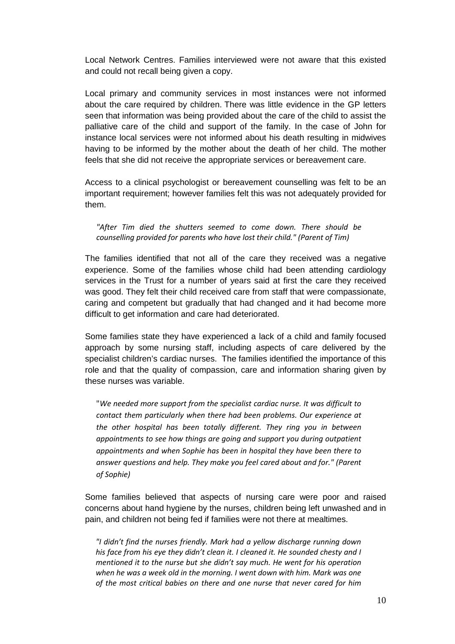Local Network Centres. Families interviewed were not aware that this existed and could not recall being given a copy.

Local primary and community services in most instances were not informed about the care required by children. There was little evidence in the GP letters seen that information was being provided about the care of the child to assist the palliative care of the child and support of the family. In the case of John for instance local services were not informed about his death resulting in midwives having to be informed by the mother about the death of her child. The mother feels that she did not receive the appropriate services or bereavement care.

Access to a clinical psychologist or bereavement counselling was felt to be an important requirement; however families felt this was not adequately provided for them.

*"After Tim died the shutters seemed to come down. There should be counselling provided for parents who have lost their child." (Parent of Tim)*

The families identified that not all of the care they received was a negative experience. Some of the families whose child had been attending cardiology services in the Trust for a number of years said at first the care they received was good. They felt their child received care from staff that were compassionate, caring and competent but gradually that had changed and it had become more difficult to get information and care had deteriorated.

Some families state they have experienced a lack of a child and family focused approach by some nursing staff, including aspects of care delivered by the specialist children's cardiac nurses. The families identified the importance of this role and that the quality of compassion, care and information sharing given by these nurses was variable.

"*We needed more support from the specialist cardiac nurse. It was difficult to contact them particularly when there had been problems. Our experience at the other hospital has been totally different. They ring you in between appointments to see how things are going and support you during outpatient appointments and when Sophie has been in hospital they have been there to answer questions and help. They make you feel cared about and for." (Parent of Sophie)*

Some families believed that aspects of nursing care were poor and raised concerns about hand hygiene by the nurses, children being left unwashed and in pain, and children not being fed if families were not there at mealtimes.

*"I didn't find the nurses friendly. Mark had a yellow discharge running down his face from his eye they didn't clean it. I cleaned it. He sounded chesty and I mentioned it to the nurse but she didn't say much. He went for his operation when he was a week old in the morning. I went down with him. Mark was one of the most critical babies on there and one nurse that never cared for him*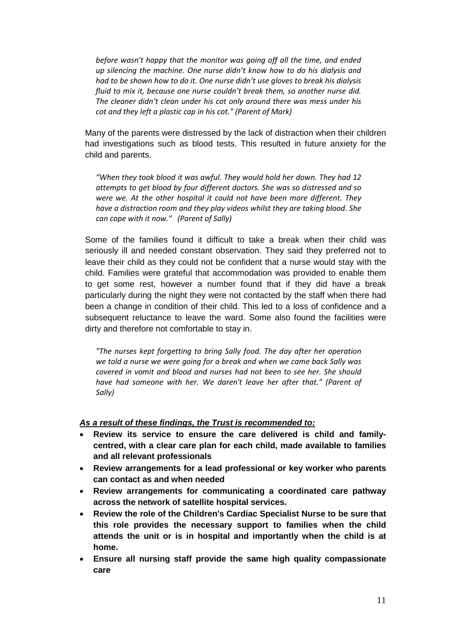*before wasn't happy that the monitor was going off all the time, and ended up silencing the machine. One nurse didn't know how to do his dialysis and had to be shown how to do it. One nurse didn't use gloves to break his dialysis fluid to mix it, because one nurse couldn't break them, so another nurse did. The cleaner didn't clean under his cot only around there was mess under his cot and they left a plastic cap in his cot." (Parent of Mark)*

Many of the parents were distressed by the lack of distraction when their children had investigations such as blood tests. This resulted in future anxiety for the child and parents.

*"When they took blood it was awful. They would hold her down. They had 12 attempts to get blood by four different doctors. She was so distressed and so were we. At the other hospital it could not have been more different. They have a distraction room and they play videos whilst they are taking blood. She can cope with it now." (Parent of Sally)*

Some of the families found it difficult to take a break when their child was seriously ill and needed constant observation. They said they preferred not to leave their child as they could not be confident that a nurse would stay with the child. Families were grateful that accommodation was provided to enable them to get some rest, however a number found that if they did have a break particularly during the night they were not contacted by the staff when there had been a change in condition of their child. This led to a loss of confidence and a subsequent reluctance to leave the ward. Some also found the facilities were dirty and therefore not comfortable to stay in.

*"The nurses kept forgetting to bring Sally food. The day after her operation we told a nurse we were going for a break and when we came back Sally was covered in vomit and blood and nurses had not been to see her. She should have had someone with her. We daren't leave her after that." (Parent of Sally)*

#### *As a result of these findings, the Trust is recommended to:*

- **Review its service to ensure the care delivered is child and familycentred, with a clear care plan for each child, made available to families and all relevant professionals**
- **Review arrangements for a lead professional or key worker who parents can contact as and when needed**
- **Review arrangements for communicating a coordinated care pathway across the network of satellite hospital services.**
- **Review the role of the Children's Cardiac Specialist Nurse to be sure that this role provides the necessary support to families when the child attends the unit or is in hospital and importantly when the child is at home.**
- **Ensure all nursing staff provide the same high quality compassionate care**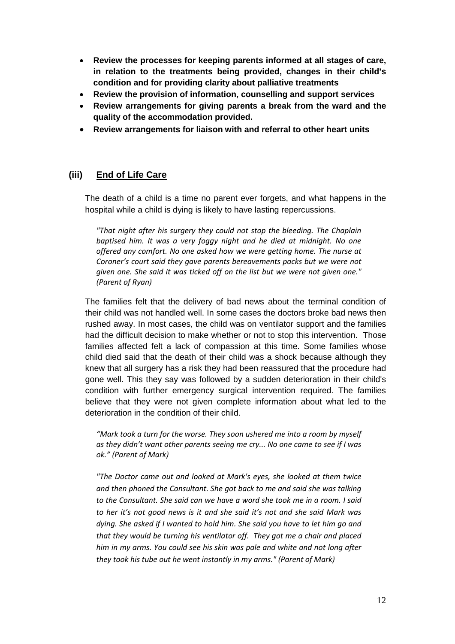- **Review the processes for keeping parents informed at all stages of care, in relation to the treatments being provided, changes in their child's condition and for providing clarity about palliative treatments**
- **Review the provision of information, counselling and support services**
- **Review arrangements for giving parents a break from the ward and the quality of the accommodation provided.**
- **Review arrangements for liaison with and referral to other heart units**

#### **(iii) End of Life Care**

The death of a child is a time no parent ever forgets, and what happens in the hospital while a child is dying is likely to have lasting repercussions.

*"That night after his surgery they could not stop the bleeding. The Chaplain baptised him. It was a very foggy night and he died at midnight. No one offered any comfort. No one asked how we were getting home. The nurse at Coroner's court said they gave parents bereavements packs but we were not given one. She said it was ticked off on the list but we were not given one." (Parent of Ryan)*

The families felt that the delivery of bad news about the terminal condition of their child was not handled well. In some cases the doctors broke bad news then rushed away. In most cases, the child was on ventilator support and the families had the difficult decision to make whether or not to stop this intervention. Those families affected felt a lack of compassion at this time. Some families whose child died said that the death of their child was a shock because although they knew that all surgery has a risk they had been reassured that the procedure had gone well. This they say was followed by a sudden deterioration in their child's condition with further emergency surgical intervention required. The families believe that they were not given complete information about what led to the deterioration in the condition of their child.

*"Mark took a turn for the worse. They soon ushered me into a room by myself as they didn't want other parents seeing me cry... No one came to see if I was ok." (Parent of Mark)*

*"The Doctor came out and looked at Mark's eyes, she looked at them twice and then phoned the Consultant. She got back to me and said she was talking to the Consultant. She said can we have a word she took me in a room. I said to her it's not good news is it and she said it's not and she said Mark was dying. She asked if I wanted to hold him. She said you have to let him go and that they would be turning his ventilator off. They got me a chair and placed him in my arms. You could see his skin was pale and white and not long after they took his tube out he went instantly in my arms." (Parent of Mark)*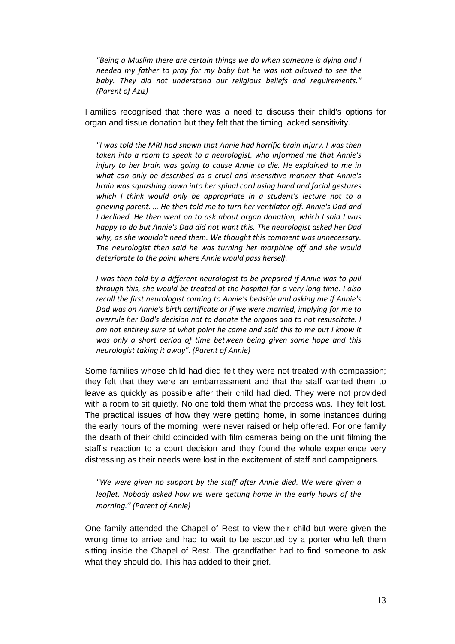*"Being a Muslim there are certain things we do when someone is dying and I needed my father to pray for my baby but he was not allowed to see the baby. They did not understand our religious beliefs and requirements." (Parent of Aziz)*

Families recognised that there was a need to discuss their child's options for organ and tissue donation but they felt that the timing lacked sensitivity.

*"I was told the MRI had shown that Annie had horrific brain injury. I was then taken into a room to speak to a neurologist, who informed me that Annie's injury to her brain was going to cause Annie to die. He explained to me in what can only be described as a cruel and insensitive manner that Annie's brain was squashing down into her spinal cord using hand and facial gestures which I think would only be appropriate in a student's lecture not to a grieving parent. … He then told me to turn her ventilator off. Annie's Dad and I declined. He then went on to ask about organ donation, which I said I was happy to do but Annie's Dad did not want this. The neurologist asked her Dad why, as she wouldn't need them. We thought this comment was unnecessary. The neurologist then said he was turning her morphine off and she would deteriorate to the point where Annie would pass herself.*

*I* was then told by a different neurologist to be prepared if Annie was to pull *through this, she would be treated at the hospital for a very long time. I also recall the first neurologist coming to Annie's bedside and asking me if Annie's Dad was on Annie's birth certificate or if we were married, implying for me to overrule her Dad's decision not to donate the organs and to not resuscitate. I am not entirely sure at what point he came and said this to me but I know it was only a short period of time between being given some hope and this neurologist taking it away"*. *(Parent of Annie)*

Some families whose child had died felt they were not treated with compassion; they felt that they were an embarrassment and that the staff wanted them to leave as quickly as possible after their child had died. They were not provided with a room to sit quietly. No one told them what the process was. They felt lost. The practical issues of how they were getting home, in some instances during the early hours of the morning, were never raised or help offered. For one family the death of their child coincided with film cameras being on the unit filming the staff's reaction to a court decision and they found the whole experience very distressing as their needs were lost in the excitement of staff and campaigners.

*"We were given no support by the staff after Annie died. We were given a leaflet. Nobody asked how we were getting home in the early hours of the morning." (Parent of Annie)*

One family attended the Chapel of Rest to view their child but were given the wrong time to arrive and had to wait to be escorted by a porter who left them sitting inside the Chapel of Rest. The grandfather had to find someone to ask what they should do. This has added to their grief.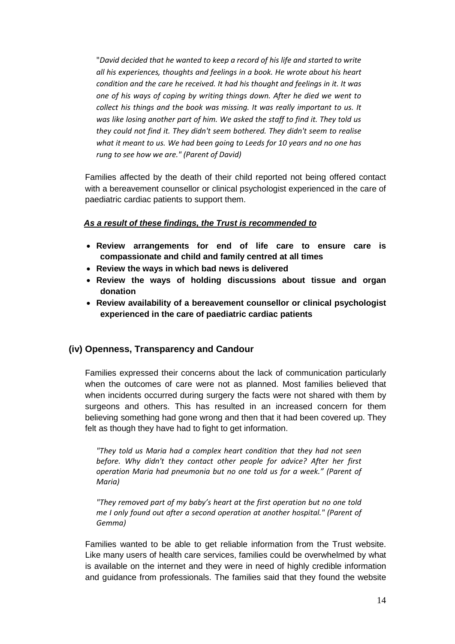"*David decided that he wanted to keep a record of his life and started to write all his experiences, thoughts and feelings in a book. He wrote about his heart condition and the care he received. It had his thought and feelings in it. It was one of his ways of coping by writing things down. After he died we went to collect his things and the book was missing. It was really important to us. It was like losing another part of him. We asked the staff to find it. They told us they could not find it. They didn't seem bothered. They didn't seem to realise what it meant to us. We had been going to Leeds for 10 years and no one has rung to see how we are." (Parent of David)*

Families affected by the death of their child reported not being offered contact with a bereavement counsellor or clinical psychologist experienced in the care of paediatric cardiac patients to support them.

#### *As a result of these findings, the Trust is recommended to*

- **Review arrangements for end of life care to ensure care is compassionate and child and family centred at all times**
- **Review the ways in which bad news is delivered**
- **Review the ways of holding discussions about tissue and organ donation**
- **Review availability of a bereavement counsellor or clinical psychologist experienced in the care of paediatric cardiac patients**

#### **(iv) Openness, Transparency and Candour**

Families expressed their concerns about the lack of communication particularly when the outcomes of care were not as planned. Most families believed that when incidents occurred during surgery the facts were not shared with them by surgeons and others. This has resulted in an increased concern for them believing something had gone wrong and then that it had been covered up. They felt as though they have had to fight to get information.

*"They told us Maria had a complex heart condition that they had not seen before. Why didn't they contact other people for advice? After her first operation Maria had pneumonia but no one told us for a week." (Parent of Maria)*

*"They removed part of my baby's heart at the first operation but no one told me I only found out after a second operation at another hospital." (Parent of Gemma)*

Families wanted to be able to get reliable information from the Trust website. Like many users of health care services, families could be overwhelmed by what is available on the internet and they were in need of highly credible information and guidance from professionals. The families said that they found the website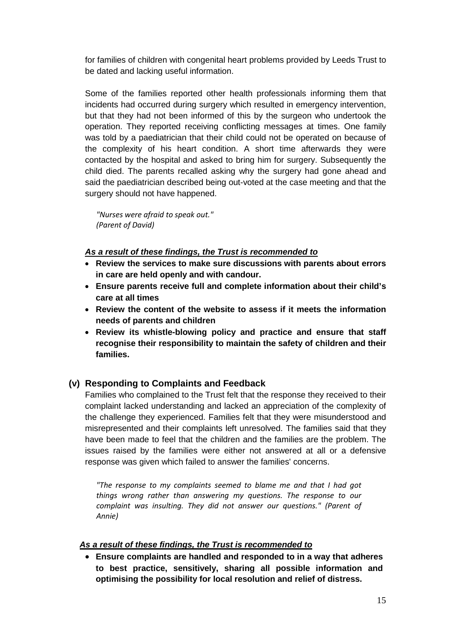for families of children with congenital heart problems provided by Leeds Trust to be dated and lacking useful information.

Some of the families reported other health professionals informing them that incidents had occurred during surgery which resulted in emergency intervention, but that they had not been informed of this by the surgeon who undertook the operation. They reported receiving conflicting messages at times. One family was told by a paediatrician that their child could not be operated on because of the complexity of his heart condition. A short time afterwards they were contacted by the hospital and asked to bring him for surgery. Subsequently the child died. The parents recalled asking why the surgery had gone ahead and said the paediatrician described being out-voted at the case meeting and that the surgery should not have happened.

*"Nurses were afraid to speak out." (Parent of David)*

#### *As a result of these findings, the Trust is recommended to*

- **Review the services to make sure discussions with parents about errors in care are held openly and with candour.**
- **Ensure parents receive full and complete information about their child's care at all times**
- **Review the content of the website to assess if it meets the information needs of parents and children**
- **Review its whistle-blowing policy and practice and ensure that staff recognise their responsibility to maintain the safety of children and their families.**

#### **(v) Responding to Complaints and Feedback**

Families who complained to the Trust felt that the response they received to their complaint lacked understanding and lacked an appreciation of the complexity of the challenge they experienced. Families felt that they were misunderstood and misrepresented and their complaints left unresolved. The families said that they have been made to feel that the children and the families are the problem. The issues raised by the families were either not answered at all or a defensive response was given which failed to answer the families' concerns.

*"The response to my complaints seemed to blame me and that I had got things wrong rather than answering my questions. The response to our complaint was insulting. They did not answer our questions." (Parent of Annie)*

#### *As a result of these findings, the Trust is recommended to*

• **Ensure complaints are handled and responded to in a way that adheres to best practice, sensitively, sharing all possible information and optimising the possibility for local resolution and relief of distress.**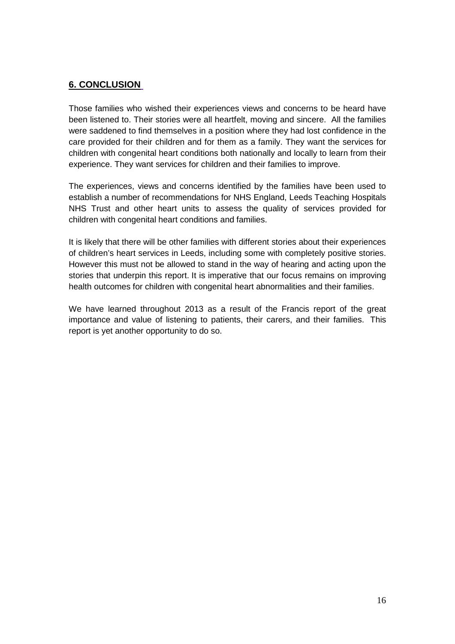#### **6. CONCLUSION**

Those families who wished their experiences views and concerns to be heard have been listened to. Their stories were all heartfelt, moving and sincere. All the families were saddened to find themselves in a position where they had lost confidence in the care provided for their children and for them as a family. They want the services for children with congenital heart conditions both nationally and locally to learn from their experience. They want services for children and their families to improve.

The experiences, views and concerns identified by the families have been used to establish a number of recommendations for NHS England, Leeds Teaching Hospitals NHS Trust and other heart units to assess the quality of services provided for children with congenital heart conditions and families.

It is likely that there will be other families with different stories about their experiences of children's heart services in Leeds, including some with completely positive stories. However this must not be allowed to stand in the way of hearing and acting upon the stories that underpin this report. It is imperative that our focus remains on improving health outcomes for children with congenital heart abnormalities and their families.

We have learned throughout 2013 as a result of the Francis report of the great importance and value of listening to patients, their carers, and their families. This report is yet another opportunity to do so.